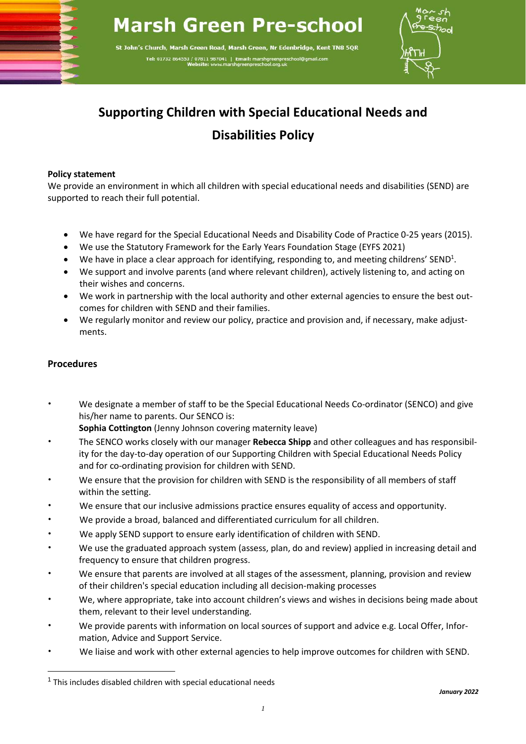## **Marsh Green Pre-school**

St John's Church, Marsh Green Road, Marsh Green, Nr Edenbridge, Kent TN8 5QR Tel: 01732 864553 / 07811 987041 | Email



## **Supporting Children with Special Educational Needs and Disabilities Policy**

## **Policy statement**

We provide an environment in which all children with special educational needs and disabilities (SEND) are supported to reach their full potential.

- We have regard for the Special Educational Needs and Disability Code of Practice 0-25 years (2015).
- We use the Statutory Framework for the Early Years Foundation Stage (EYFS 2021)
- We have in place a clear approach for identifying, responding to, and meeting childrens' SEND<sup>1</sup>.
- We support and involve parents (and where relevant children), actively listening to, and acting on their wishes and concerns.
- We work in partnership with the local authority and other external agencies to ensure the best outcomes for children with SEND and their families.
- We regularly monitor and review our policy, practice and provision and, if necessary, make adjustments.

## **Procedures**

• We designate a member of staff to be the Special Educational Needs Co-ordinator (SENCO) and give his/her name to parents. Our SENCO is:

**Sophia Cottington** (Jenny Johnson covering maternity leave)

- The SENCO works closely with our manager **Rebecca Shipp** and other colleagues and has responsibility for the day-to-day operation of our Supporting Children with Special Educational Needs Policy and for co-ordinating provision for children with SEND.
- We ensure that the provision for children with SEND is the responsibility of all members of staff within the setting.
- We ensure that our inclusive admissions practice ensures equality of access and opportunity.
- We provide a broad, balanced and differentiated curriculum for all children.
- We apply SEND support to ensure early identification of children with SEND.
- We use the graduated approach system (assess, plan, do and review) applied in increasing detail and frequency to ensure that children progress.
- We ensure that parents are involved at all stages of the assessment, planning, provision and review of their children's special education including all decision-making processes
- We, where appropriate, take into account children's views and wishes in decisions being made about them, relevant to their level understanding.
- We provide parents with information on local sources of support and advice e.g. Local Offer, Information, Advice and Support Service.
- We liaise and work with other external agencies to help improve outcomes for children with SEND.

 $1$  This includes disabled children with special educational needs